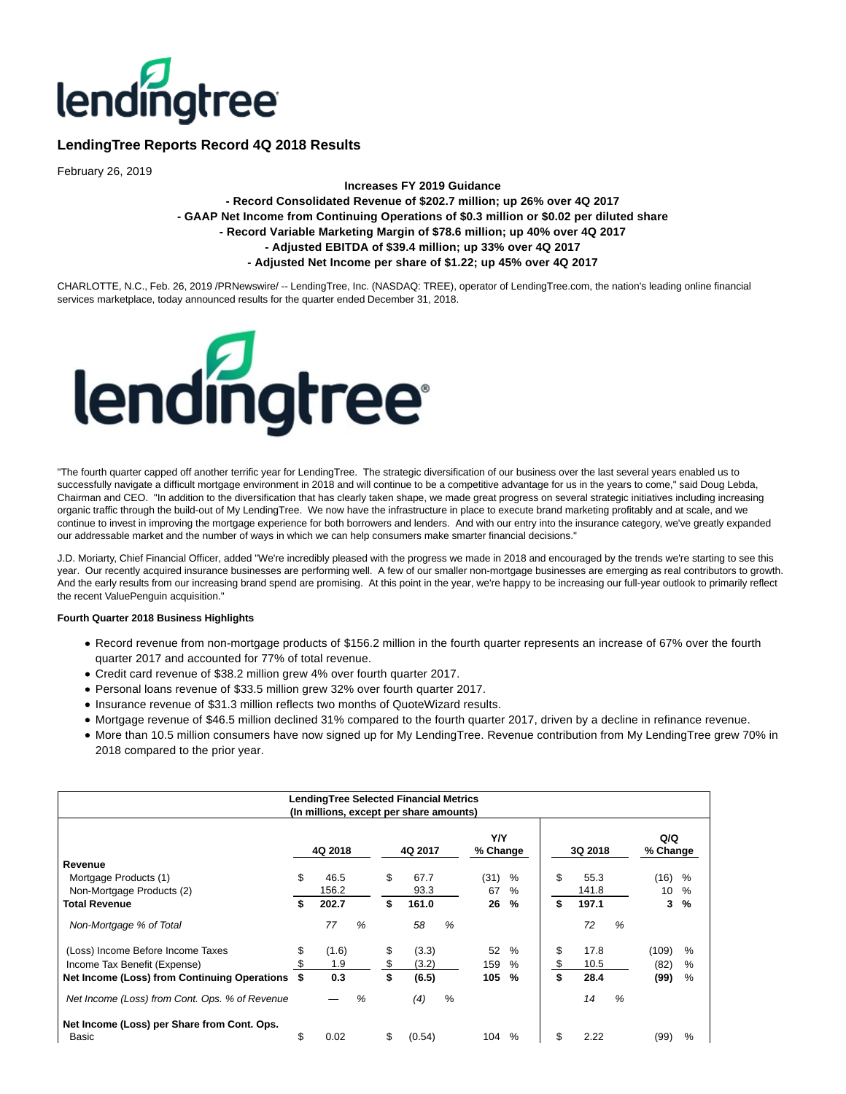

# **LendingTree Reports Record 4Q 2018 Results**

February 26, 2019

## **Increases FY 2019 Guidance - Record Consolidated Revenue of \$202.7 million; up 26% over 4Q 2017 - GAAP Net Income from Continuing Operations of \$0.3 million or \$0.02 per diluted share - Record Variable Marketing Margin of \$78.6 million; up 40% over 4Q 2017 - Adjusted EBITDA of \$39.4 million; up 33% over 4Q 2017 - Adjusted Net Income per share of \$1.22; up 45% over 4Q 2017**

CHARLOTTE, N.C., Feb. 26, 2019 /PRNewswire/ -- LendingTree, Inc. (NASDAQ: TREE), operator of LendingTree.com, the nation's leading online financial services marketplace, today announced results for the quarter ended December 31, 2018.



"The fourth quarter capped off another terrific year for LendingTree. The strategic diversification of our business over the last several years enabled us to successfully navigate a difficult mortgage environment in 2018 and will continue to be a competitive advantage for us in the years to come," said Doug Lebda, Chairman and CEO. "In addition to the diversification that has clearly taken shape, we made great progress on several strategic initiatives including increasing organic traffic through the build-out of My LendingTree. We now have the infrastructure in place to execute brand marketing profitably and at scale, and we continue to invest in improving the mortgage experience for both borrowers and lenders. And with our entry into the insurance category, we've greatly expanded our addressable market and the number of ways in which we can help consumers make smarter financial decisions."

J.D. Moriarty, Chief Financial Officer, added "We're incredibly pleased with the progress we made in 2018 and encouraged by the trends we're starting to see this year. Our recently acquired insurance businesses are performing well. A few of our smaller non-mortgage businesses are emerging as real contributors to growth. And the early results from our increasing brand spend are promising. At this point in the year, we're happy to be increasing our full-year outlook to primarily reflect the recent ValuePenguin acquisition."

#### **Fourth Quarter 2018 Business Highlights**

- Record revenue from non-mortgage products of \$156.2 million in the fourth quarter represents an increase of 67% over the fourth quarter 2017 and accounted for 77% of total revenue.
- Credit card revenue of \$38.2 million grew 4% over fourth quarter 2017.
- Personal loans revenue of \$33.5 million grew 32% over fourth quarter 2017.
- Insurance revenue of \$31.3 million reflects two months of QuoteWizard results.
- Mortgage revenue of \$46.5 million declined 31% compared to the fourth quarter 2017, driven by a decline in refinance revenue.
- More than 10.5 million consumers have now signed up for My LendingTree. Revenue contribution from My LendingTree grew 70% in 2018 compared to the prior year.

| LendingTree Selected Financial Metrics<br>(In millions, except per share amounts) |    |         |   |    |         |      |                 |      |    |         |   |                 |      |
|-----------------------------------------------------------------------------------|----|---------|---|----|---------|------|-----------------|------|----|---------|---|-----------------|------|
|                                                                                   |    | 4Q 2018 |   |    | 4Q 2017 |      | Y/Y<br>% Change |      |    | 3Q 2018 |   | Q/Q<br>% Change |      |
| Revenue                                                                           |    |         |   |    |         |      |                 |      |    |         |   |                 |      |
| Mortgage Products (1)                                                             | \$ | 46.5    |   | \$ | 67.7    |      | (31)            | %    | \$ | 55.3    |   | (16)            | %    |
| Non-Mortgage Products (2)                                                         |    | 156.2   |   |    | 93.3    |      | 67              | %    |    | 141.8   |   | 10              | %    |
| <b>Total Revenue</b>                                                              | \$ | 202.7   |   | \$ | 161.0   |      | 26              | $\%$ | \$ | 197.1   |   | 3               | %    |
| Non-Mortgage % of Total                                                           |    | 77      | % |    | 58      | %    |                 |      |    | 72      | % |                 |      |
| (Loss) Income Before Income Taxes                                                 | \$ | (1.6)   |   | \$ | (3.3)   |      | 52              | $\%$ | \$ | 17.8    |   | (109)           | $\%$ |
| Income Tax Benefit (Expense)                                                      |    | 1.9     |   |    | (3.2)   |      | 159             | $\%$ |    | 10.5    |   | (82)            | $\%$ |
| Net Income (Loss) from Continuing Operations                                      |    | 0.3     |   | \$ | (6.5)   |      | 105             | $\%$ | \$ | 28.4    |   | (99)            | %    |
| Net Income (Loss) from Cont. Ops. % of Revenue                                    |    |         | % |    | (4)     | $\%$ |                 |      |    | 14      | % |                 |      |
| Net Income (Loss) per Share from Cont. Ops.<br>Basic                              | \$ | 0.02    |   | \$ | (0.54)  |      | 104             | $\%$ | \$ | 2.22    |   | (99)            | $\%$ |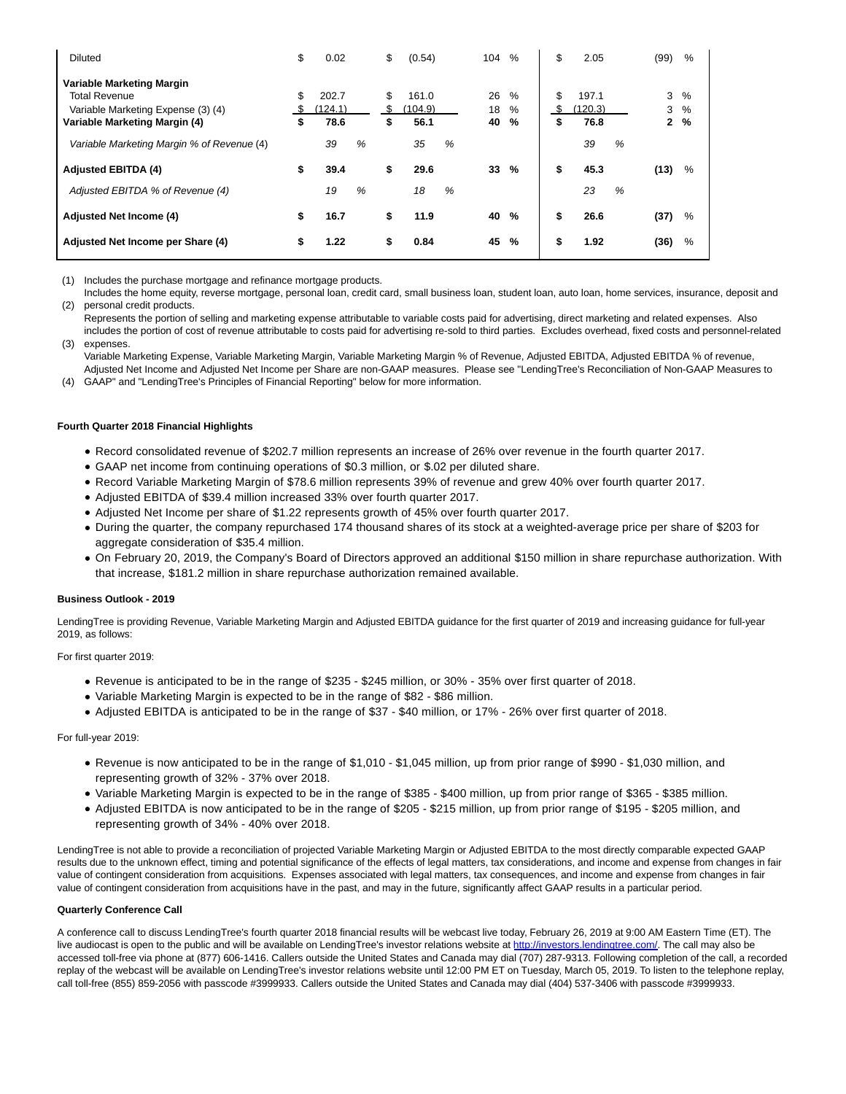| Diluted                                                                                                                  | \$               | 0.02                           |   | \$            | (0.54)                         |   | 104            | $\%$                    | \$            | 2.05                           |   | (99)        | $\%$              |
|--------------------------------------------------------------------------------------------------------------------------|------------------|--------------------------------|---|---------------|--------------------------------|---|----------------|-------------------------|---------------|--------------------------------|---|-------------|-------------------|
| Variable Marketing Margin<br><b>Total Revenue</b><br>Variable Marketing Expense (3) (4)<br>Variable Marketing Margin (4) | \$<br>- \$<br>\$ | 202.7<br>(124.1)<br>78.6<br>39 | % | \$<br>S<br>\$ | 161.0<br>(104.9)<br>56.1<br>35 | % | 26<br>18<br>40 | %<br>%<br>$\frac{9}{6}$ | \$<br>S<br>\$ | 197.1<br>(120.3)<br>76.8<br>39 | % | 3<br>3<br>2 | $\%$<br>$\%$<br>% |
| Variable Marketing Margin % of Revenue (4)<br><b>Adjusted EBITDA (4)</b>                                                 | \$               | 39.4                           |   | \$            | 29.6                           |   | 33             | %                       | \$            | 45.3                           |   | (13)        | $\%$              |
| Adjusted EBITDA % of Revenue (4)                                                                                         |                  | 19                             | % |               | 18                             | % |                |                         |               | 23                             | % |             |                   |
| <b>Adjusted Net Income (4)</b>                                                                                           | \$               | 16.7                           |   | \$            | 11.9                           |   | 40             | %                       | \$            | 26.6                           |   | (37)        | %                 |
| Adjusted Net Income per Share (4)                                                                                        | \$               | 1.22                           |   | \$            | 0.84                           |   | 45             | %                       | \$            | 1.92                           |   | (36)        | %                 |

(1) Includes the purchase mortgage and refinance mortgage products.

(2) personal credit products. Includes the home equity, reverse mortgage, personal loan, credit card, small business loan, student loan, auto loan, home services, insurance, deposit and

(3) Represents the portion of selling and marketing expense attributable to variable costs paid for advertising, direct marketing and related expenses. Also includes the portion of cost of revenue attributable to costs paid for advertising re-sold to third parties. Excludes overhead, fixed costs and personnel-related expenses.

Variable Marketing Expense, Variable Marketing Margin, Variable Marketing Margin % of Revenue, Adjusted EBITDA, Adjusted EBITDA % of revenue, Adjusted Net Income and Adjusted Net Income per Share are non-GAAP measures. Please see "LendingTree's Reconciliation of Non-GAAP Measures to

(4) GAAP" and "LendingTree's Principles of Financial Reporting" below for more information.

#### **Fourth Quarter 2018 Financial Highlights**

- Record consolidated revenue of \$202.7 million represents an increase of 26% over revenue in the fourth quarter 2017.
- GAAP net income from continuing operations of \$0.3 million, or \$.02 per diluted share.
- Record Variable Marketing Margin of \$78.6 million represents 39% of revenue and grew 40% over fourth quarter 2017.
- Adjusted EBITDA of \$39.4 million increased 33% over fourth quarter 2017.
- Adjusted Net Income per share of \$1.22 represents growth of 45% over fourth quarter 2017.
- During the quarter, the company repurchased 174 thousand shares of its stock at a weighted-average price per share of \$203 for aggregate consideration of \$35.4 million.
- On February 20, 2019, the Company's Board of Directors approved an additional \$150 million in share repurchase authorization. With that increase, \$181.2 million in share repurchase authorization remained available.

#### **Business Outlook - 2019**

LendingTree is providing Revenue, Variable Marketing Margin and Adjusted EBITDA guidance for the first quarter of 2019 and increasing guidance for full-year 2019, as follows:

For first quarter 2019:

- Revenue is anticipated to be in the range of \$235 \$245 million, or 30% 35% over first quarter of 2018.
- Variable Marketing Margin is expected to be in the range of \$82 \$86 million.
- Adjusted EBITDA is anticipated to be in the range of \$37 \$40 million, or 17% 26% over first quarter of 2018.

## For full-year 2019:

- Revenue is now anticipated to be in the range of \$1,010 \$1,045 million, up from prior range of \$990 \$1,030 million, and representing growth of 32% - 37% over 2018.
- Variable Marketing Margin is expected to be in the range of \$385 \$400 million, up from prior range of \$365 \$385 million.
- Adjusted EBITDA is now anticipated to be in the range of \$205 \$215 million, up from prior range of \$195 \$205 million, and representing growth of 34% - 40% over 2018.

LendingTree is not able to provide a reconciliation of projected Variable Marketing Margin or Adjusted EBITDA to the most directly comparable expected GAAP results due to the unknown effect, timing and potential significance of the effects of legal matters, tax considerations, and income and expense from changes in fair value of contingent consideration from acquisitions. Expenses associated with legal matters, tax consequences, and income and expense from changes in fair value of contingent consideration from acquisitions have in the past, and may in the future, significantly affect GAAP results in a particular period.

### **Quarterly Conference Call**

A conference call to discuss LendingTree's fourth quarter 2018 financial results will be webcast live today, February 26, 2019 at 9:00 AM Eastern Time (ET). The live audiocast is open to the public and will be available on LendingTree's investor relations website at [http://investors.lendingtree.com/.](http://investors.lendingtree.com/) The call may also be accessed toll-free via phone at (877) 606-1416. Callers outside the United States and Canada may dial (707) 287-9313. Following completion of the call, a recorded replay of the webcast will be available on LendingTree's investor relations website until 12:00 PM ET on Tuesday, March 05, 2019. To listen to the telephone replay, call toll-free (855) 859-2056 with passcode #3999933. Callers outside the United States and Canada may dial (404) 537-3406 with passcode #3999933.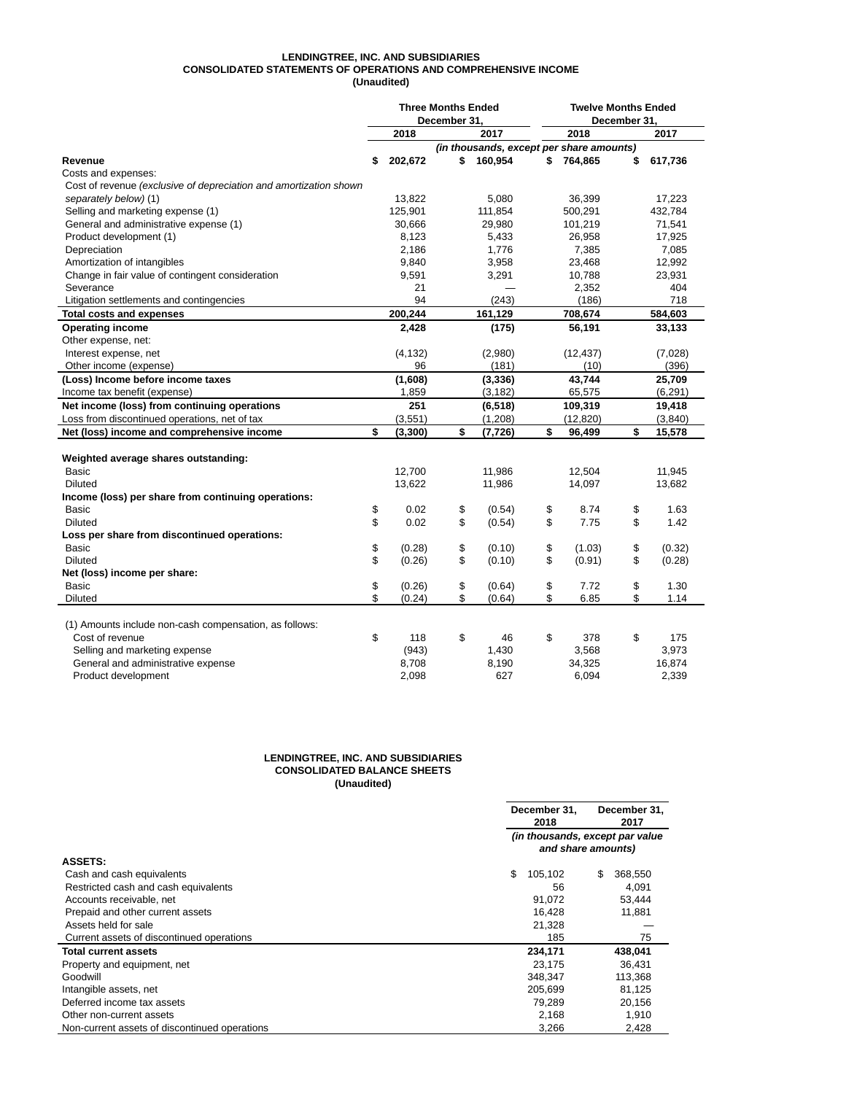## **LENDINGTREE, INC. AND SUBSIDIARIES CONSOLIDATED STATEMENTS OF OPERATIONS AND COMPREHENSIVE INCOME (Unaudited)**

|                                                                   | <b>Three Months Ended</b><br>December 31. |  |                                          | <b>Twelve Months Ended</b><br>December 31. |    |          |
|-------------------------------------------------------------------|-------------------------------------------|--|------------------------------------------|--------------------------------------------|----|----------|
|                                                                   | 2018                                      |  | 2017                                     | 2018                                       |    | 2017     |
|                                                                   |                                           |  | (in thousands, except per share amounts) |                                            |    |          |
| Revenue                                                           | \$<br>202,672                             |  | 160,954<br>\$                            | \$<br>764,865                              | \$ | 617,736  |
| Costs and expenses:                                               |                                           |  |                                          |                                            |    |          |
| Cost of revenue (exclusive of depreciation and amortization shown |                                           |  |                                          |                                            |    |          |
| separately below) (1)                                             | 13,822                                    |  | 5.080                                    | 36.399                                     |    | 17,223   |
| Selling and marketing expense (1)                                 | 125,901                                   |  | 111,854                                  | 500,291                                    |    | 432,784  |
| General and administrative expense (1)                            | 30,666                                    |  | 29,980                                   | 101,219                                    |    | 71,541   |
| Product development (1)                                           | 8,123                                     |  | 5,433                                    | 26,958                                     |    | 17,925   |
| Depreciation                                                      | 2,186                                     |  | 1,776                                    | 7,385                                      |    | 7,085    |
| Amortization of intangibles                                       | 9,840                                     |  | 3,958                                    | 23,468                                     |    | 12,992   |
| Change in fair value of contingent consideration                  | 9,591                                     |  | 3,291                                    | 10,788                                     |    | 23,931   |
| Severance                                                         | 21                                        |  |                                          | 2,352                                      |    | 404      |
| Litigation settlements and contingencies                          | 94                                        |  | (243)                                    | (186)                                      |    | 718      |
| <b>Total costs and expenses</b>                                   | 200,244                                   |  | 161,129                                  | 708,674                                    |    | 584,603  |
| <b>Operating income</b>                                           | 2,428                                     |  | (175)                                    | 56,191                                     |    | 33,133   |
| Other expense, net:                                               |                                           |  |                                          |                                            |    |          |
| Interest expense, net                                             | (4, 132)                                  |  | (2,980)                                  | (12, 437)                                  |    | (7,028)  |
| Other income (expense)                                            | 96                                        |  | (181)                                    | (10)                                       |    | (396)    |
| (Loss) Income before income taxes                                 | (1,608)                                   |  | (3, 336)                                 | 43.744                                     |    | 25,709   |
| Income tax benefit (expense)                                      | 1,859                                     |  | (3, 182)                                 | 65,575                                     |    | (6, 291) |
| Net income (loss) from continuing operations                      | 251                                       |  | (6, 518)                                 | 109,319                                    |    | 19,418   |
| Loss from discontinued operations, net of tax                     | (3,551)                                   |  | (1,208)                                  | (12, 820)                                  |    | (3,840)  |
| Net (loss) income and comprehensive income                        | \$<br>(3,300)                             |  | \$<br>(7, 726)                           | \$<br>96,499                               | \$ | 15,578   |
|                                                                   |                                           |  |                                          |                                            |    |          |
| Weighted average shares outstanding:                              |                                           |  |                                          |                                            |    |          |
| <b>Basic</b>                                                      | 12,700                                    |  | 11,986                                   | 12,504                                     |    | 11,945   |
| <b>Diluted</b>                                                    | 13,622                                    |  | 11,986                                   | 14,097                                     |    | 13,682   |
| Income (loss) per share from continuing operations:               |                                           |  |                                          |                                            |    |          |
| Basic                                                             | \$<br>0.02                                |  | \$<br>(0.54)                             | \$<br>8.74                                 | \$ | 1.63     |
| <b>Diluted</b>                                                    | \$<br>0.02                                |  | \$<br>(0.54)                             | \$<br>7.75                                 | \$ | 1.42     |
| Loss per share from discontinued operations:                      |                                           |  |                                          |                                            |    |          |
| <b>Basic</b>                                                      | \$<br>(0.28)                              |  | \$<br>(0.10)                             | \$<br>(1.03)                               | \$ | (0.32)   |
| <b>Diluted</b>                                                    | \$<br>(0.26)                              |  | \$<br>(0.10)                             | \$<br>(0.91)                               | \$ | (0.28)   |
| Net (loss) income per share:                                      |                                           |  |                                          |                                            |    |          |
| Basic                                                             | \$<br>(0.26)                              |  | \$<br>(0.64)                             | \$<br>7.72                                 | \$ | 1.30     |
| <b>Diluted</b>                                                    | \$<br>(0.24)                              |  | \$<br>(0.64)                             | \$<br>6.85                                 | \$ | 1.14     |
|                                                                   |                                           |  |                                          |                                            |    |          |
| (1) Amounts include non-cash compensation, as follows:            |                                           |  |                                          |                                            |    |          |
| Cost of revenue                                                   | \$<br>118                                 |  | \$<br>46                                 | \$<br>378                                  | \$ | 175      |
| Selling and marketing expense                                     | (943)                                     |  | 1,430                                    | 3,568                                      |    | 3,973    |
| General and administrative expense                                | 8,708                                     |  | 8,190                                    | 34,325                                     |    | 16,874   |
| Product development                                               | 2,098                                     |  | 627                                      | 6,094                                      |    | 2,339    |

#### **LENDINGTREE, INC. AND SUBSIDIARIES CONSOLIDATED BALANCE SHEETS (Unaudited)**

|                                               | December 31.<br>2018                                  | December 31.<br>2017 |  |  |  |  |  |  |  |
|-----------------------------------------------|-------------------------------------------------------|----------------------|--|--|--|--|--|--|--|
|                                               | (in thousands, except par value<br>and share amounts) |                      |  |  |  |  |  |  |  |
| <b>ASSETS:</b>                                |                                                       |                      |  |  |  |  |  |  |  |
| Cash and cash equivalents                     | \$<br>105,102                                         | \$<br>368,550        |  |  |  |  |  |  |  |
| Restricted cash and cash equivalents          | 56                                                    | 4,091                |  |  |  |  |  |  |  |
| Accounts receivable, net                      | 91.072                                                | 53.444               |  |  |  |  |  |  |  |
| Prepaid and other current assets              | 16.428                                                | 11.881               |  |  |  |  |  |  |  |
| Assets held for sale                          | 21,328                                                |                      |  |  |  |  |  |  |  |
| Current assets of discontinued operations     | 185                                                   | 75                   |  |  |  |  |  |  |  |
| <b>Total current assets</b>                   | 234.171                                               | 438,041              |  |  |  |  |  |  |  |
| Property and equipment, net                   | 23.175                                                | 36.431               |  |  |  |  |  |  |  |
| Goodwill                                      | 348.347                                               | 113,368              |  |  |  |  |  |  |  |
| Intangible assets, net                        | 205.699                                               | 81.125               |  |  |  |  |  |  |  |
| Deferred income tax assets                    | 79.289                                                | 20,156               |  |  |  |  |  |  |  |
| Other non-current assets                      | 2,168                                                 | 1,910                |  |  |  |  |  |  |  |
| Non-current assets of discontinued operations | 3,266                                                 | 2,428                |  |  |  |  |  |  |  |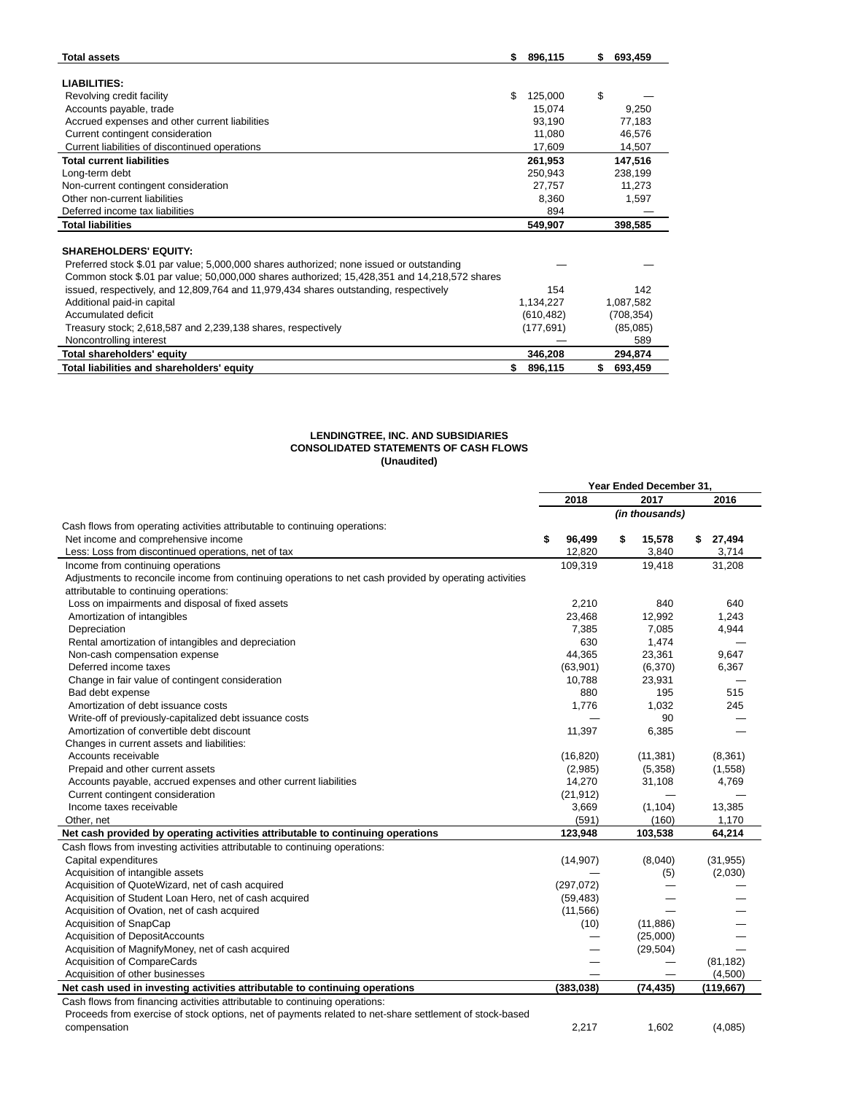| <b>Total assets</b>                                                                          | \$<br>896,115 | S. | 693,459    |
|----------------------------------------------------------------------------------------------|---------------|----|------------|
|                                                                                              |               |    |            |
| <b>LIABILITIES:</b>                                                                          |               |    |            |
| Revolving credit facility                                                                    | \$<br>125,000 | \$ |            |
| Accounts payable, trade                                                                      | 15,074        |    | 9,250      |
| Accrued expenses and other current liabilities                                               | 93,190        |    | 77,183     |
| Current contingent consideration                                                             | 11,080        |    | 46,576     |
| Current liabilities of discontinued operations                                               | 17.609        |    | 14,507     |
| <b>Total current liabilities</b>                                                             | 261,953       |    | 147,516    |
| Long-term debt                                                                               | 250,943       |    | 238,199    |
| Non-current contingent consideration                                                         | 27,757        |    | 11,273     |
| Other non-current liabilities                                                                | 8,360         |    | 1.597      |
| Deferred income tax liabilities                                                              | 894           |    |            |
| <b>Total liabilities</b>                                                                     | 549,907       |    | 398,585    |
|                                                                                              |               |    |            |
| <b>SHAREHOLDERS' EQUITY:</b>                                                                 |               |    |            |
| Preferred stock \$.01 par value; 5,000,000 shares authorized; none issued or outstanding     |               |    |            |
| Common stock \$.01 par value; 50,000,000 shares authorized; 15,428,351 and 14,218,572 shares |               |    |            |
| issued, respectively, and 12,809,764 and 11,979,434 shares outstanding, respectively         | 154           |    | 142        |
| Additional paid-in capital                                                                   | 1,134,227     |    | 1,087,582  |
| Accumulated deficit                                                                          | (610, 482)    |    | (708, 354) |
| Treasury stock; 2,618,587 and 2,239,138 shares, respectively                                 | (177, 691)    |    | (85,085)   |
| Noncontrolling interest                                                                      |               |    | 589        |
| Total shareholders' equity                                                                   | 346,208       |    | 294,874    |
| Total liabilities and shareholders' equity                                                   | \$<br>896,115 | \$ | 693,459    |

#### **LENDINGTREE, INC. AND SUBSIDIARIES CONSOLIDATED STATEMENTS OF CASH FLOWS (Unaudited)**

|                                                                                                         |                 | Year Ended December 31.  |              |
|---------------------------------------------------------------------------------------------------------|-----------------|--------------------------|--------------|
|                                                                                                         | 2018            | 2017                     | 2016         |
|                                                                                                         |                 | (in thousands)           |              |
| Cash flows from operating activities attributable to continuing operations:                             |                 |                          |              |
| Net income and comprehensive income                                                                     | \$<br>96,499    | \$<br>15,578             | \$<br>27,494 |
| Less: Loss from discontinued operations, net of tax                                                     | 12,820          | 3,840                    | 3,714        |
| Income from continuing operations                                                                       | 109,319         | 19,418                   | 31,208       |
| Adjustments to reconcile income from continuing operations to net cash provided by operating activities |                 |                          |              |
| attributable to continuing operations:                                                                  |                 |                          |              |
| Loss on impairments and disposal of fixed assets                                                        | 2.210           | 840                      | 640          |
| Amortization of intangibles                                                                             | 23,468          | 12,992                   | 1,243        |
| Depreciation                                                                                            | 7.385           | 7.085                    | 4.944        |
| Rental amortization of intangibles and depreciation                                                     | 630             | 1,474                    |              |
| Non-cash compensation expense                                                                           | 44,365          | 23,361                   | 9,647        |
| Deferred income taxes                                                                                   | (63,901)        | (6,370)                  | 6,367        |
| Change in fair value of contingent consideration                                                        | 10,788          | 23,931                   |              |
| Bad debt expense                                                                                        | 880             | 195                      | 515          |
| Amortization of debt issuance costs                                                                     | 1,776           | 1,032                    | 245          |
| Write-off of previously-capitalized debt issuance costs                                                 |                 | 90                       |              |
| Amortization of convertible debt discount                                                               | 11,397          | 6,385                    |              |
| Changes in current assets and liabilities:                                                              |                 |                          |              |
| Accounts receivable                                                                                     | (16, 820)       | (11, 381)                | (8, 361)     |
| Prepaid and other current assets                                                                        | (2,985)         | (5,358)                  | (1,558)      |
| Accounts payable, accrued expenses and other current liabilities                                        | 14,270          | 31,108                   | 4,769        |
| Current contingent consideration                                                                        | (21, 912)       | $\overline{\phantom{0}}$ |              |
| Income taxes receivable                                                                                 | 3,669           | (1, 104)                 | 13,385       |
| Other, net                                                                                              | (591)           | (160)                    | 1,170        |
| Net cash provided by operating activities attributable to continuing operations                         | 123,948         | 103,538                  | 64,214       |
| Cash flows from investing activities attributable to continuing operations:                             |                 |                          |              |
| Capital expenditures                                                                                    | (14, 907)       | (8,040)                  | (31, 955)    |
| Acquisition of intangible assets                                                                        |                 | (5)                      | (2,030)      |
| Acquisition of QuoteWizard, net of cash acquired                                                        | (297,072)       |                          |              |
| Acquisition of Student Loan Hero, net of cash acquired                                                  | (59, 483)       |                          |              |
| Acquisition of Ovation, net of cash acquired                                                            | (11, 566)       |                          |              |
| Acquisition of SnapCap                                                                                  | (10)            | (11, 886)                |              |
| Acquisition of DepositAccounts                                                                          |                 | (25,000)                 |              |
| Acquisition of MagnifyMoney, net of cash acquired                                                       |                 | (29, 504)                |              |
| Acquisition of CompareCards                                                                             |                 |                          | (81, 182)    |
| Acquisition of other businesses                                                                         | $\qquad \qquad$ |                          | (4,500)      |
| Net cash used in investing activities attributable to continuing operations                             | (383, 038)      | (74, 435)                | (119, 667)   |
| Cash flows from financing activities attributable to continuing operations:                             |                 |                          |              |
| Proceeds from exercise of stock options, net of payments related to net-share settlement of stock-based |                 |                          |              |
| compensation                                                                                            | 2,217           | 1,602                    | (4,085)      |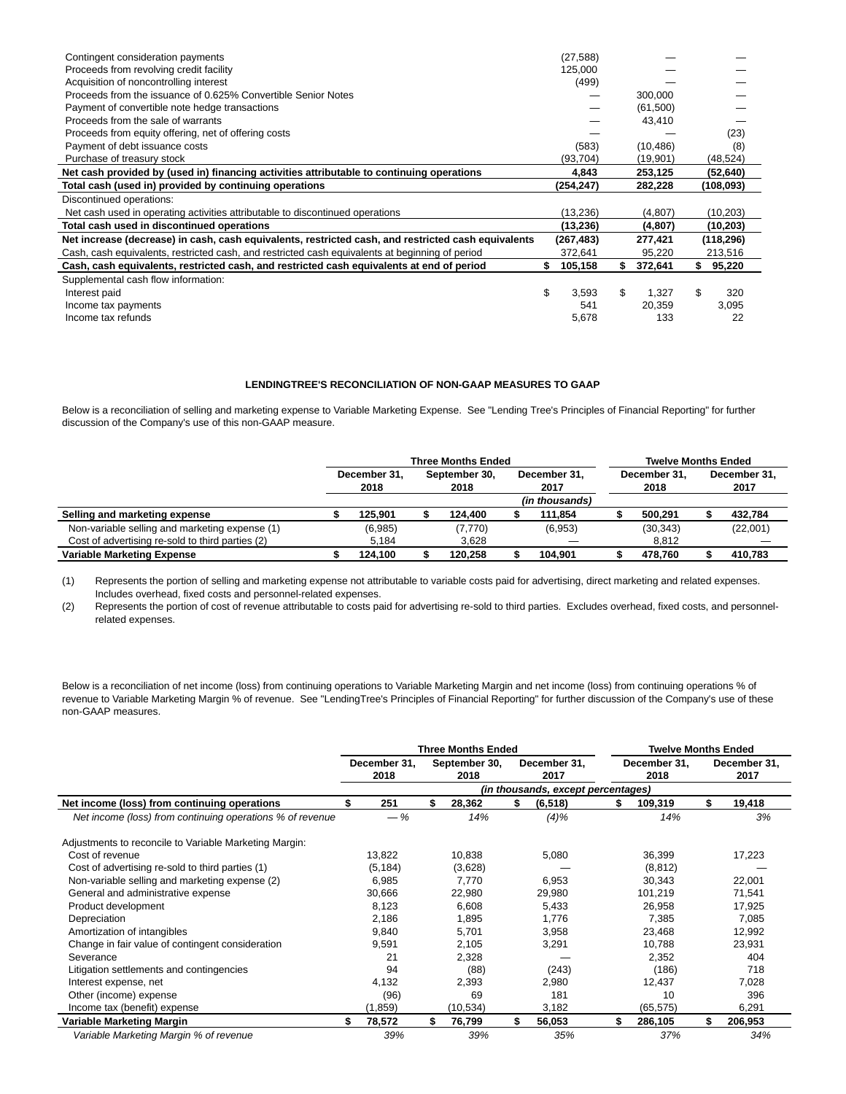| Contingent consideration payments                                                                   | (27, 588)   |             |              |  |
|-----------------------------------------------------------------------------------------------------|-------------|-------------|--------------|--|
| Proceeds from revolving credit facility                                                             | 125,000     |             |              |  |
| Acquisition of noncontrolling interest                                                              | (499)       |             |              |  |
| Proceeds from the issuance of 0.625% Convertible Senior Notes                                       |             | 300,000     |              |  |
| Payment of convertible note hedge transactions                                                      |             | (61,500)    |              |  |
| Proceeds from the sale of warrants                                                                  |             | 43,410      |              |  |
| Proceeds from equity offering, net of offering costs                                                |             |             | (23)         |  |
| Payment of debt issuance costs                                                                      | (583)       | (10, 486)   | (8)          |  |
| Purchase of treasury stock                                                                          | (93, 704)   | (19,901)    | (48, 524)    |  |
| Net cash provided by (used in) financing activities attributable to continuing operations           | 4,843       | 253,125     | (52, 640)    |  |
| Total cash (used in) provided by continuing operations                                              | (254,247)   | 282,228     | (108, 093)   |  |
| Discontinued operations:                                                                            |             |             |              |  |
| Net cash used in operating activities attributable to discontinued operations                       | (13, 236)   | (4,807)     | (10, 203)    |  |
| Total cash used in discontinued operations                                                          | (13, 236)   | (4,807)     | (10,203)     |  |
| Net increase (decrease) in cash, cash equivalents, restricted cash, and restricted cash equivalents | (267, 483)  | 277,421     | (118, 296)   |  |
| Cash, cash equivalents, restricted cash, and restricted cash equivalents at beginning of period     | 372,641     | 95,220      | 213,516      |  |
| Cash, cash equivalents, restricted cash, and restricted cash equivalents at end of period           | 105,158     | 372,641     | \$<br>95,220 |  |
| Supplemental cash flow information:                                                                 |             |             |              |  |
| Interest paid                                                                                       | \$<br>3,593 | \$<br>1.327 | \$<br>320    |  |
| Income tax payments                                                                                 | 541         | 20,359      | 3,095        |  |
| Income tax refunds                                                                                  | 5,678       | 133         | 22           |  |
|                                                                                                     |             |             |              |  |

## **LENDINGTREE'S RECONCILIATION OF NON-GAAP MEASURES TO GAAP**

Below is a reconciliation of selling and marketing expense to Variable Marketing Expense. See "Lending Tree's Principles of Financial Reporting" for further discussion of the Company's use of this non-GAAP measure.

|                                                  |                      |         | <b>Three Months Ended</b> | <b>Twelve Months Ended</b> |  |                      |                      |           |  |                      |
|--------------------------------------------------|----------------------|---------|---------------------------|----------------------------|--|----------------------|----------------------|-----------|--|----------------------|
|                                                  | December 31.<br>2018 |         | September 30.<br>2018     |                            |  | December 31.<br>2017 | December 31.<br>2018 |           |  | December 31.<br>2017 |
|                                                  |                      |         |                           |                            |  | (in thousands)       |                      |           |  |                      |
| Selling and marketing expense                    |                      | 125.901 |                           | 124.400                    |  | 111.854              |                      | 500,291   |  | 432,784              |
| Non-variable selling and marketing expense (1)   |                      | (6,985) |                           | (7,770)                    |  | (6,953)              |                      | (30, 343) |  | (22,001)             |
| Cost of advertising re-sold to third parties (2) |                      | 5.184   |                           | 3.628                      |  |                      |                      | 8.812     |  |                      |
| <b>Variable Marketing Expense</b>                |                      | 124.100 | 120.258                   |                            |  | 104.901              |                      | 478.760   |  | 410.783              |

(1) Represents the portion of selling and marketing expense not attributable to variable costs paid for advertising, direct marketing and related expenses. Includes overhead, fixed costs and personnel-related expenses.

(2) Represents the portion of cost of revenue attributable to costs paid for advertising re-sold to third parties. Excludes overhead, fixed costs, and personnelrelated expenses.

Below is a reconciliation of net income (loss) from continuing operations to Variable Marketing Margin and net income (loss) from continuing operations % of revenue to Variable Marketing Margin % of revenue. See "LendingTree's Principles of Financial Reporting" for further discussion of the Company's use of these non-GAAP measures.

|                                                           |                      |        | <b>Three Months Ended</b> |        | <b>Twelve Months Ended</b>         |                      |     |                      |  |
|-----------------------------------------------------------|----------------------|--------|---------------------------|--------|------------------------------------|----------------------|-----|----------------------|--|
|                                                           | December 31.<br>2018 |        | September 30,<br>2018     |        | December 31,<br>2017               | December 31,<br>2018 |     | December 31,<br>2017 |  |
|                                                           |                      |        |                           |        | (in thousands, except percentages) |                      |     |                      |  |
| Net income (loss) from continuing operations              | 251                  |        | 28,362                    | S      | (6, 518)                           | 109,319              |     | 19,418               |  |
| Net income (loss) from continuing operations % of revenue | $-\%$                | 14%    |                           |        | (4)%                               | 14%                  |     | 3%                   |  |
| Adjustments to reconcile to Variable Marketing Margin:    |                      |        |                           |        |                                    |                      |     |                      |  |
| Cost of revenue                                           | 13,822               |        | 10.838                    |        | 5,080                              | 36,399               |     | 17,223               |  |
| Cost of advertising re-sold to third parties (1)          | (5, 184)             |        | (3,628)                   |        |                                    | (8, 812)             |     |                      |  |
| Non-variable selling and marketing expense (2)            | 6,985                |        | 7.770                     |        | 6,953                              | 30,343               |     |                      |  |
| General and administrative expense                        | 30,666               | 22,980 |                           | 29,980 |                                    | 101,219              |     | 71,541               |  |
| Product development                                       | 8,123                |        | 6,608                     | 5,433  |                                    | 26,958               |     | 17,925               |  |
| Depreciation                                              | 2,186                |        | 1,895                     |        | 1,776                              | 7,385                |     | 7,085                |  |
| Amortization of intangibles                               | 9,840                |        | 5,701                     |        | 3,958                              | 23,468               |     | 12,992               |  |
| Change in fair value of contingent consideration          | 9,591                |        | 2,105                     |        | 3,291                              | 10.788               |     | 23,931               |  |
| Severance                                                 | 21                   |        | 2,328                     |        |                                    | 2,352                |     | 404                  |  |
| Litigation settlements and contingencies                  | 94                   |        | (88)                      |        | (243)                              | (186)                |     | 718                  |  |
| Interest expense, net                                     | 4,132                |        | 2,393                     |        | 2,980                              | 12,437               |     | 7,028                |  |
| Other (income) expense                                    | (96)                 |        | 69                        |        | 181                                | 10                   |     | 396                  |  |
| Income tax (benefit) expense                              | (1, 859)             |        | (10, 534)                 |        | 3,182                              | (65, 575)            |     | 6,291                |  |
| Variable Marketing Margin                                 | \$<br>78,572         | \$.    | 76,799                    | \$     | 56,053                             | \$<br>286,105        | \$. | 206,953              |  |
| Variable Marketing Margin % of revenue                    | 39%                  |        | 39%                       |        | 35%                                | 37%                  |     | 34%                  |  |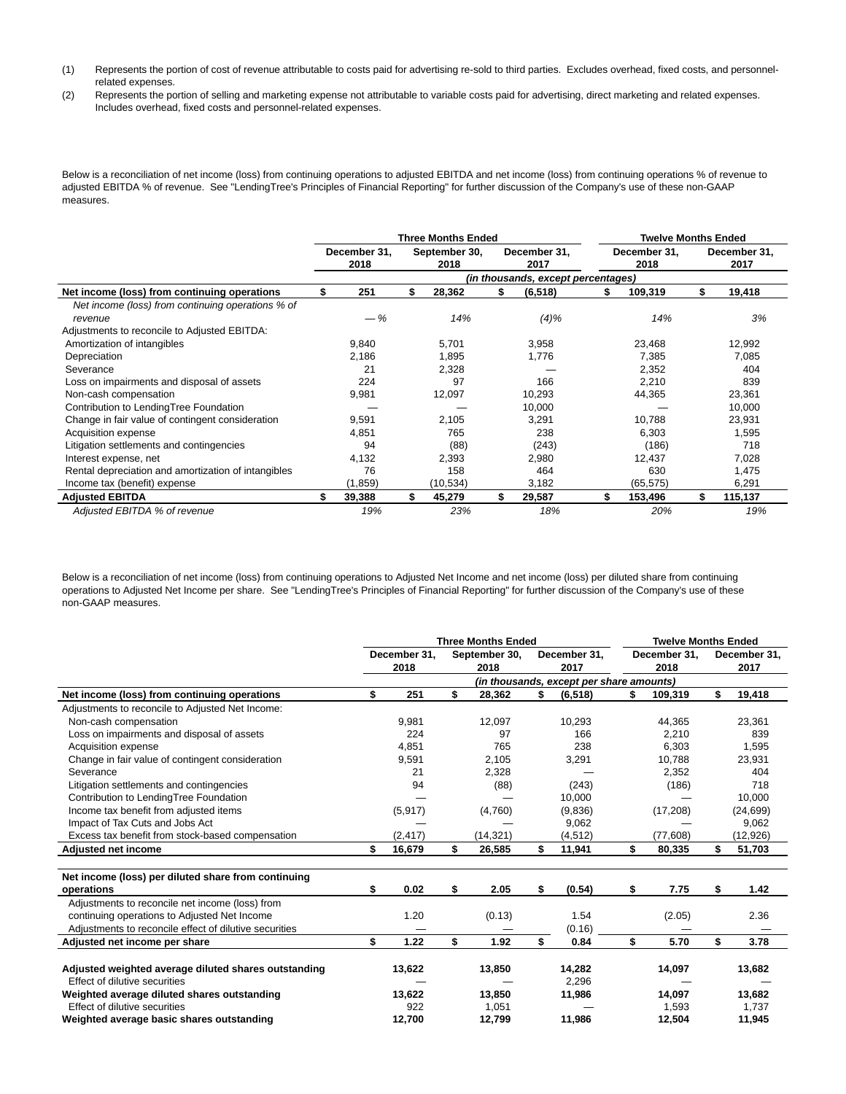- (1) Represents the portion of cost of revenue attributable to costs paid for advertising re-sold to third parties. Excludes overhead, fixed costs, and personnelrelated expenses.
- (2) Represents the portion of selling and marketing expense not attributable to variable costs paid for advertising, direct marketing and related expenses. Includes overhead, fixed costs and personnel-related expenses.

Below is a reconciliation of net income (loss) from continuing operations to adjusted EBITDA and net income (loss) from continuing operations % of revenue to adjusted EBITDA % of revenue. See "LendingTree's Principles of Financial Reporting" for further discussion of the Company's use of these non-GAAP measures.

|                                                     |     |                      |     | <b>Three Months Ended</b> |     | <b>Twelve Months Ended</b>         |     |                      |     |                      |
|-----------------------------------------------------|-----|----------------------|-----|---------------------------|-----|------------------------------------|-----|----------------------|-----|----------------------|
|                                                     |     | December 31.<br>2018 |     | September 30,<br>2018     |     | December 31,<br>2017               |     | December 31,<br>2018 |     | December 31,<br>2017 |
|                                                     |     |                      |     |                           |     | (in thousands, except percentages) |     |                      |     |                      |
| Net income (loss) from continuing operations        |     | 251                  | \$  | 28,362                    | \$. | (6, 518)                           | S.  | 109,319              | S   | 19,418               |
| Net income (loss) from continuing operations % of   |     |                      |     |                           |     |                                    |     |                      |     |                      |
| revenue                                             |     | $-\%$                |     | 14%                       |     | $(4)\%$                            |     | 14%                  |     | 3%                   |
| Adjustments to reconcile to Adjusted EBITDA:        |     |                      |     |                           |     |                                    |     |                      |     |                      |
| Amortization of intangibles                         |     | 9.840                |     | 5,701                     |     | 3,958                              |     | 23,468               |     | 12,992               |
| Depreciation                                        |     | 2,186                |     | 1,895                     |     | 1,776                              |     | 7,385                |     | 7,085                |
| Severance                                           |     | 21                   |     | 2,328                     |     |                                    |     | 2,352                |     | 404                  |
| Loss on impairments and disposal of assets          |     | 224                  |     | 97                        |     | 166                                |     | 2,210                |     | 839                  |
| Non-cash compensation                               |     | 9,981                |     | 12,097                    |     | 10,293                             |     | 44,365               |     | 23,361               |
| Contribution to LendingTree Foundation              |     |                      |     |                           |     | 10,000                             |     |                      |     | 10,000               |
| Change in fair value of contingent consideration    |     | 9,591                |     | 2,105                     |     | 3,291                              |     | 10,788               |     | 23,931               |
| Acquisition expense                                 |     | 4,851                |     | 765                       |     | 238                                |     | 6,303                |     | 1,595                |
| Litigation settlements and contingencies            |     | 94                   |     | (88)                      |     | (243)                              |     | (186)                |     | 718                  |
| Interest expense, net                               |     | 4,132                |     | 2,393                     |     | 2,980                              |     | 12,437               |     | 7,028                |
| Rental depreciation and amortization of intangibles |     | 76                   |     | 158                       |     | 464                                |     | 630                  |     | 1,475                |
| Income tax (benefit) expense                        |     | (1, 859)             |     | (10, 534)                 |     | 3,182                              |     | (65, 575)            |     | 6,291                |
| <b>Adjusted EBITDA</b>                              | \$. | 39,388               | \$. | 45,279                    | \$. | 29,587                             | \$. | 153,496              | \$. | 115,137              |
| Adjusted EBITDA % of revenue                        |     | 19%                  |     | 23%                       |     | 18%                                |     | 20%                  |     | 19%                  |

Below is a reconciliation of net income (loss) from continuing operations to Adjusted Net Income and net income (loss) per diluted share from continuing operations to Adjusted Net Income per share. See "LendingTree's Principles of Financial Reporting" for further discussion of the Company's use of these non-GAAP measures.

|                                                        |              | <b>Three Months Ended</b> | <b>Twelve Months Ended</b> |                                          |    |              |    |              |
|--------------------------------------------------------|--------------|---------------------------|----------------------------|------------------------------------------|----|--------------|----|--------------|
|                                                        | December 31, |                           | September 30,              | December 31,                             |    | December 31, |    | December 31, |
|                                                        | 2018         |                           | 2018                       | 2017                                     |    | 2018         |    | 2017         |
|                                                        |              |                           |                            | (in thousands, except per share amounts) |    |              |    |              |
| Net income (loss) from continuing operations           | \$<br>251    | \$                        | 28,362                     | \$<br>(6, 518)                           |    | 109,319      | \$ | 19,418       |
| Adjustments to reconcile to Adjusted Net Income:       |              |                           |                            |                                          |    |              |    |              |
| Non-cash compensation                                  | 9,981        |                           | 12,097                     | 10,293                                   |    | 44,365       |    | 23,361       |
| Loss on impairments and disposal of assets             | 224          |                           | 97                         | 166                                      |    | 2,210        |    | 839          |
| Acquisition expense                                    | 4,851        |                           | 765                        | 238                                      |    | 6,303        |    | 1,595        |
| Change in fair value of contingent consideration       | 9,591        |                           | 2,105                      | 3,291                                    |    | 10,788       |    | 23,931       |
| Severance                                              | 21           |                           | 2,328                      |                                          |    | 2,352        |    | 404          |
| Litigation settlements and contingencies               | 94           |                           | (88)                       | (243)                                    |    | (186)        |    | 718          |
| Contribution to LendingTree Foundation                 |              |                           |                            | 10,000                                   |    |              |    | 10,000       |
| Income tax benefit from adjusted items                 | (5,917)      |                           | (4,760)                    | (9,836)                                  |    | (17,208)     |    | (24, 699)    |
| Impact of Tax Cuts and Jobs Act                        |              |                           |                            | 9,062                                    |    |              |    | 9,062        |
| Excess tax benefit from stock-based compensation       | (2, 417)     |                           | (14.321)                   | (4, 512)                                 |    | (77,608)     |    | (12, 926)    |
| <b>Adjusted net income</b>                             | \$<br>16,679 | \$                        | 26,585                     | \$<br>11,941                             | \$ | 80,335       | \$ | 51,703       |
| Net income (loss) per diluted share from continuing    |              |                           |                            |                                          |    |              |    |              |
| operations                                             | \$<br>0.02   | \$                        | 2.05                       | \$<br>(0.54)                             | \$ | 7.75         | \$ | 1.42         |
| Adjustments to reconcile net income (loss) from        |              |                           |                            |                                          |    |              |    |              |
| continuing operations to Adjusted Net Income           | 1.20         |                           | (0.13)                     | 1.54                                     |    | (2.05)       |    | 2.36         |
| Adjustments to reconcile effect of dilutive securities |              |                           |                            | (0.16)                                   |    |              |    |              |
| Adjusted net income per share                          | \$<br>1.22   | \$                        | 1.92                       | \$<br>0.84                               | \$ | 5.70         | \$ | 3.78         |
|                                                        |              |                           |                            |                                          |    |              |    |              |
| Adjusted weighted average diluted shares outstanding   | 13,622       |                           | 13,850                     | 14,282                                   |    | 14,097       |    | 13,682       |
| Effect of dilutive securities                          |              |                           |                            | 2.296                                    |    |              |    |              |
| Weighted average diluted shares outstanding            | 13,622       |                           | 13,850                     | 11,986                                   |    | 14,097       |    | 13,682       |
| Effect of dilutive securities                          | 922          |                           | 1,051                      |                                          |    | 1,593        |    | 1,737        |
| Weighted average basic shares outstanding              | 12,700       |                           | 12,799                     | 11,986                                   |    | 12,504       |    | 11,945       |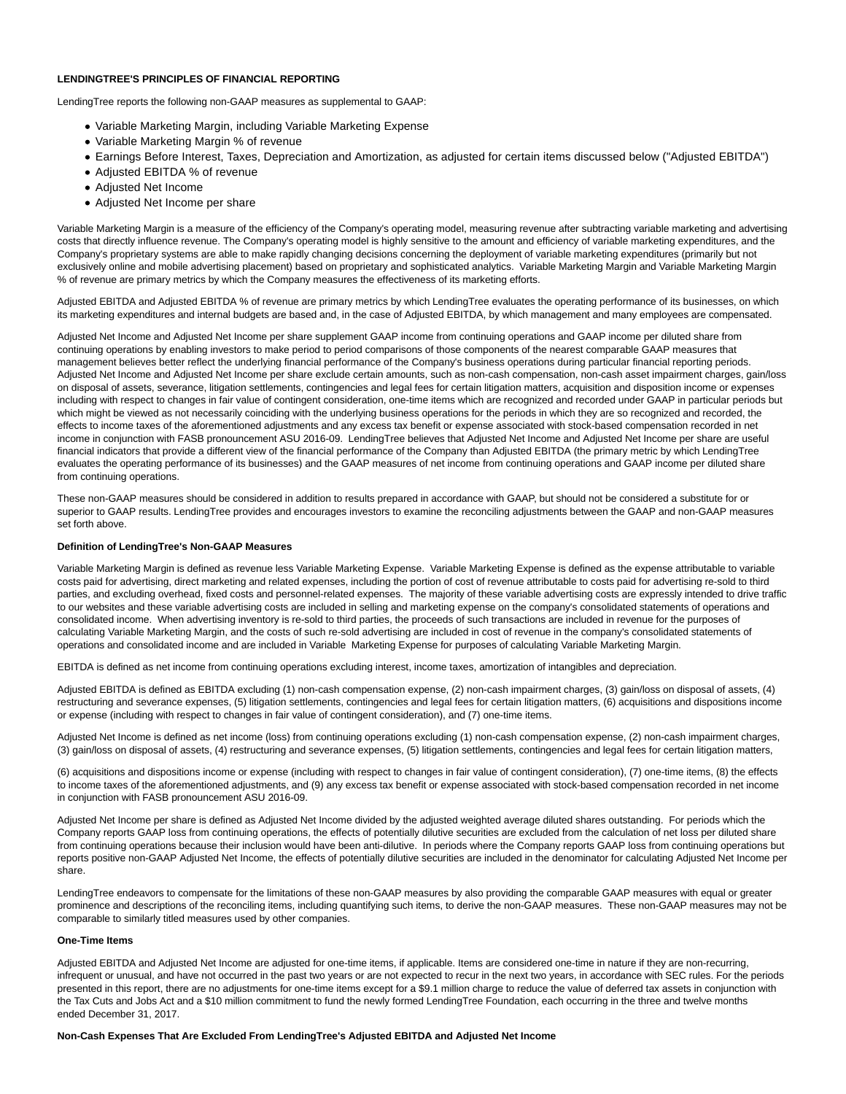#### **LENDINGTREE'S PRINCIPLES OF FINANCIAL REPORTING**

LendingTree reports the following non-GAAP measures as supplemental to GAAP:

- Variable Marketing Margin, including Variable Marketing Expense
- Variable Marketing Margin % of revenue
- Earnings Before Interest, Taxes, Depreciation and Amortization, as adjusted for certain items discussed below ("Adjusted EBITDA")
- Adjusted EBITDA % of revenue
- Adjusted Net Income
- Adjusted Net Income per share

Variable Marketing Margin is a measure of the efficiency of the Company's operating model, measuring revenue after subtracting variable marketing and advertising costs that directly influence revenue. The Company's operating model is highly sensitive to the amount and efficiency of variable marketing expenditures, and the Company's proprietary systems are able to make rapidly changing decisions concerning the deployment of variable marketing expenditures (primarily but not exclusively online and mobile advertising placement) based on proprietary and sophisticated analytics. Variable Marketing Margin and Variable Marketing Margin % of revenue are primary metrics by which the Company measures the effectiveness of its marketing efforts.

Adjusted EBITDA and Adjusted EBITDA % of revenue are primary metrics by which LendingTree evaluates the operating performance of its businesses, on which its marketing expenditures and internal budgets are based and, in the case of Adjusted EBITDA, by which management and many employees are compensated.

Adjusted Net Income and Adjusted Net Income per share supplement GAAP income from continuing operations and GAAP income per diluted share from continuing operations by enabling investors to make period to period comparisons of those components of the nearest comparable GAAP measures that management believes better reflect the underlying financial performance of the Company's business operations during particular financial reporting periods. Adjusted Net Income and Adjusted Net Income per share exclude certain amounts, such as non-cash compensation, non-cash asset impairment charges, gain/loss on disposal of assets, severance, litigation settlements, contingencies and legal fees for certain litigation matters, acquisition and disposition income or expenses including with respect to changes in fair value of contingent consideration, one-time items which are recognized and recorded under GAAP in particular periods but which might be viewed as not necessarily coinciding with the underlying business operations for the periods in which they are so recognized and recorded, the effects to income taxes of the aforementioned adjustments and any excess tax benefit or expense associated with stock-based compensation recorded in net income in conjunction with FASB pronouncement ASU 2016-09. LendingTree believes that Adjusted Net Income and Adjusted Net Income per share are useful financial indicators that provide a different view of the financial performance of the Company than Adjusted EBITDA (the primary metric by which LendingTree evaluates the operating performance of its businesses) and the GAAP measures of net income from continuing operations and GAAP income per diluted share from continuing operations.

These non-GAAP measures should be considered in addition to results prepared in accordance with GAAP, but should not be considered a substitute for or superior to GAAP results. LendingTree provides and encourages investors to examine the reconciling adjustments between the GAAP and non-GAAP measures set forth above.

#### **Definition of LendingTree's Non-GAAP Measures**

Variable Marketing Margin is defined as revenue less Variable Marketing Expense. Variable Marketing Expense is defined as the expense attributable to variable costs paid for advertising, direct marketing and related expenses, including the portion of cost of revenue attributable to costs paid for advertising re-sold to third parties, and excluding overhead, fixed costs and personnel-related expenses. The majority of these variable advertising costs are expressly intended to drive traffic to our websites and these variable advertising costs are included in selling and marketing expense on the company's consolidated statements of operations and consolidated income. When advertising inventory is re-sold to third parties, the proceeds of such transactions are included in revenue for the purposes of calculating Variable Marketing Margin, and the costs of such re-sold advertising are included in cost of revenue in the company's consolidated statements of operations and consolidated income and are included in Variable Marketing Expense for purposes of calculating Variable Marketing Margin.

EBITDA is defined as net income from continuing operations excluding interest, income taxes, amortization of intangibles and depreciation.

Adjusted EBITDA is defined as EBITDA excluding (1) non-cash compensation expense, (2) non-cash impairment charges, (3) gain/loss on disposal of assets, (4) restructuring and severance expenses, (5) litigation settlements, contingencies and legal fees for certain litigation matters, (6) acquisitions and dispositions income or expense (including with respect to changes in fair value of contingent consideration), and (7) one-time items.

Adjusted Net Income is defined as net income (loss) from continuing operations excluding (1) non-cash compensation expense, (2) non-cash impairment charges, (3) gain/loss on disposal of assets, (4) restructuring and severance expenses, (5) litigation settlements, contingencies and legal fees for certain litigation matters,

(6) acquisitions and dispositions income or expense (including with respect to changes in fair value of contingent consideration), (7) one-time items, (8) the effects to income taxes of the aforementioned adjustments, and (9) any excess tax benefit or expense associated with stock-based compensation recorded in net income in conjunction with FASB pronouncement ASU 2016-09.

Adjusted Net Income per share is defined as Adjusted Net Income divided by the adjusted weighted average diluted shares outstanding. For periods which the Company reports GAAP loss from continuing operations, the effects of potentially dilutive securities are excluded from the calculation of net loss per diluted share from continuing operations because their inclusion would have been anti-dilutive. In periods where the Company reports GAAP loss from continuing operations but reports positive non-GAAP Adjusted Net Income, the effects of potentially dilutive securities are included in the denominator for calculating Adjusted Net Income per share.

LendingTree endeavors to compensate for the limitations of these non-GAAP measures by also providing the comparable GAAP measures with equal or greater prominence and descriptions of the reconciling items, including quantifying such items, to derive the non-GAAP measures. These non-GAAP measures may not be comparable to similarly titled measures used by other companies.

#### **One-Time Items**

Adjusted EBITDA and Adjusted Net Income are adjusted for one-time items, if applicable. Items are considered one-time in nature if they are non-recurring, infrequent or unusual, and have not occurred in the past two years or are not expected to recur in the next two years, in accordance with SEC rules. For the periods presented in this report, there are no adjustments for one-time items except for a \$9.1 million charge to reduce the value of deferred tax assets in conjunction with the Tax Cuts and Jobs Act and a \$10 million commitment to fund the newly formed LendingTree Foundation, each occurring in the three and twelve months ended December 31, 2017.

#### **Non-Cash Expenses That Are Excluded From LendingTree's Adjusted EBITDA and Adjusted Net Income**